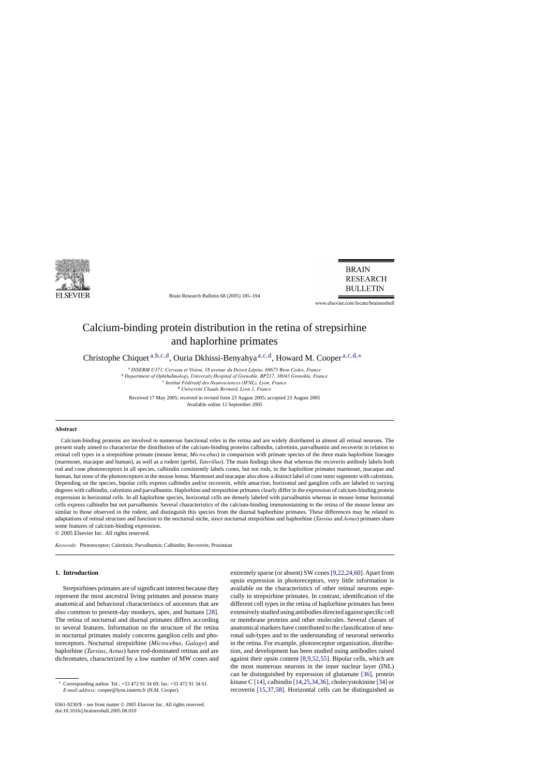

Brain Research Bulletin 68 (2005) 185–194

**BRAIN RESEARCH BULLETIN** 

www.elsevier.com/locate/brainresbull

# Calcium-binding protein distribution in the retina of strepsirhine and haplorhine primates

Christophe Chiquet<sup>a,b,c,d</sup>, Ouria Dkhissi-Benyahya<sup>a,c,d</sup>, Howard M. Cooper<sup>a,c,d,∗</sup>

<sup>a</sup> *INSERM U371, Cerveau et Vision, 18 avenue du Doyen Lépine, 69675 Bron Cedex, France* 

<sup>b</sup> *Department of Ophthalmology, University Hospital of Grenoble, BP217, 38043 Grenoble, France*

<sup>c</sup> *Institut F´ed´eratif des Neurosciences (IFNL), Lyon, France*

<sup>d</sup> Université Claude Bernard, Lyon 1, France

Received 17 May 2005; received in revised form 23 August 2005; accepted 23 August 2005 Available online 12 September 2005

## **Abstract**

Calcium-binding proteins are involved in numerous functional roles in the retina and are widely distributed in almost all retinal neurons. The present study aimed to characterize the distribution of the calcium-binding proteins calbindin, calretinin, parvalbumin and recoverin in relation to retinal cell types in a strepsirhine primate (mouse lemur, *Microcebus*) in comparison with primate species of the three main haplorhine lineages (marmoset, macaque and human), as well as a rodent (gerbil, *Taterillus*). The main findings show that whereas the recoverin antibody labels both rod and cone photoreceptors in all species, calbindin consistently labels cones, but not rods, in the haplorhine primates marmoset, macaque and human, but none of the photoreceptors in the mouse lemur. Marmoset and macaque also show a distinct label of cone outer segments with calretinin. Depending on the species, bipolar cells express calbindin and/or recoverin, while amacrine, horizontal and ganglion cells are labeled to varying degrees with calbindin, calretinin and parvalbumin. Haplorhine and strepsirhine primates clearly differ in the expression of calcium-binding protein expression in horizontal cells. In all haplorhine species, horizontal cells are densely labeled with parvalbumin whereas in mouse lemur horizontal cells express calbindin but not parvalbumin. Several characteristics of the calcium-binding immunostaining in the retina of the mouse lemur are similar to those observed in the rodent, and distinguish this species from the diurnal haphorhine primates. These differences may be related to adaptations of retinal structure and function to the nocturnal niche, since nocturnal strepsirhine and haphorhine (*Tarsius* and *Aotus*) primates share some features of calcium-binding expression.

© 2005 Elsevier Inc. All rights reserved.

*Keywords:* Photoreceptor; Calretinin; Parvalbumin; Calbindin; Recoverin; Prosimian

# **1. Introduction**

Strepsirhines primates are of significant interest because they represent the most ancestral living primates and possess many anatomical and behavioral characteristics of ancestors that are also common to present-day monkeys, apes, and humans [\[28\].](#page-8-0) The retina of nocturnal and diurnal primates differs according to several features. Information on the structure of the retina in nocturnal primates mainly concerns ganglion cells and photoreceptors. Nocturnal strepsirhine (*Microcebus*, *Galago*) and haplorhine (*Tarsius*, *Aotus*) have rod-dominated retinas and are dichromates, characterized by a low number of MW cones and

0361-9230/\$ – see front matter © 2005 Elsevier Inc. All rights reserved. doi:10.1016/j.brainresbull.2005.08.010

extremely sparse (or absent) SW cones[\[9,22,24,60\]. A](#page-7-0)part from opsin expression in photoreceptors, very little information is available on the characteristics of other retinal neurons especially in strepsirhine primates. In contrast, identification of the different cell types in the retina of haplorhine primates has been extensively studied using antibodies directed against specific cell or membrane proteins and other molecules. Several classes of anatomical markers have contributed to the classification of neuronal sub-types and to the understanding of neuronal networks in the retina. For example, photoreceptor organization, distribution, and development has been studied using antibodies raised against their opsin content [\[8,9,52,55\].](#page-7-0) Bipolar cells, which are the most numerous neurons in the inner nuclear layer (INL) can be distinguished by expression of glutamate [\[36\],](#page-8-0) protein kinase C [\[14\], c](#page-7-0)albindin [\[14,25,34,36\], c](#page-7-0)holecystokinine [\[34\]](#page-8-0) or recoverin [\[15,37,58\].](#page-7-0) Horizontal cells can be distinguished as

<sup>∗</sup> Corresponding author. Tel.: +33 472 91 34 69; fax: +33 472 91 34 61. *E-mail address:* cooper@lyon.inserm.fr (H.M. Cooper).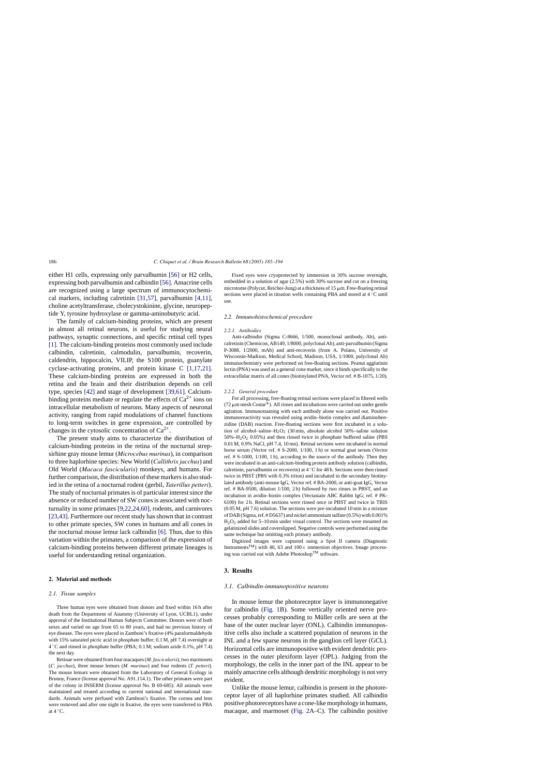either H1 cells, expressing only parvalbumin [\[56\]](#page-8-0) or H2 cells, expressing both parvalbumin and calbindin [\[56\]. A](#page-8-0)macrine cells are recognized using a large spectrum of immunocytochemical markers, including calretinin [\[31,57\],](#page-8-0) parvalbumin [\[4,11\],](#page-7-0) choline acetyltransferase, cholecystokinine, glycine, neuropeptide Y, tyrosine hydroxylase or gamma-aminobutyric acid.

The family of calcium-binding proteins, which are present in almost all retinal neurons, is useful for studying neural pathways, synaptic connections, and specific retinal cell types [\[1\]. T](#page-7-0)he calcium-binding proteins most commonly used include calbindin, calretinin, calmodulin, parvalbumin, recoverin, caldendrin, hippocalcin, VILIP, the S100 protein, guanylate cyclase-activating proteins, and protein kinase C [\[1,17,21\].](#page-7-0) These calcium-binding proteins are expressed in both the retina and the brain and their distribution depends on cell type, species [\[42\]](#page-8-0) and stage of development [\[39,61\].](#page-8-0) Calciumbinding proteins mediate or regulate the effects of  $Ca^{2+}$  ions on intracellular metabolism of neurons. Many aspects of neuronal activity, ranging from rapid modulations of channel functions to long-term switches in gene expression, are controlled by changes in the cytosolic concentration of  $Ca^{2+}$ .

The present study aims to characterize the distribution of calcium-binding proteins in the retina of the nocturnal strepsirhine gray mouse lemur (*Microcebus murinus*), in comparison to three haplorhine species: New World (*Callithrix jacchus*) and Old World (*Macaca fascicularis*) monkeys, and humans. For further comparison, the distribution of these markers is also studied in the retina of a nocturnal rodent (gerbil, *Taterillus petteri*). The study of nocturnal primates is of particular interest since the absence or reduced number of SW cones is associated with nocturnality in some primates [\[9,22,24,60\],](#page-7-0) rodents, and carnivores [\[23,43\]. F](#page-8-0)urthermore our recent study has shown that in contrast to other primate species, SW cones in humans and all cones in the nocturnal mouse lemur lack calbindin [\[6\].](#page-7-0) Thus, due to this variation within the primates, a comparison of the expression of calcium-binding proteins between different primate lineages is useful for understanding retinal organization.

### **2. Material and methods**

#### *2.1. Tissue samples*

Three human eyes were obtained from donors and fixed within 16 h after death from the Department of Anatomy (University of Lyon, UCBL1), under approval of the Institutional Human Subjects Committee. Donors were of both sexes and varied on age from 65 to 80 years, and had no previous history of eye disease. The eyes were placed in Zamboni's fixative (4% paraformaldehyde with 15% saturated picric acid in phosphate buffer; 0.1 M, pH 7.4) overnight at  $4^{\circ}$ C and rinsed in phosphate buffer (PBA; 0.1 M; sodium azide 0.1%, pH 7.4) the next day.

Retinae were obtained from four macaques (*M. fascicularis*), two marmosets (*C. jacchus*), three mouse lemurs (*M. murinus*) and four rodents (*T. petteri*). The mouse lemurs were obtained from the Laboratory of General Ecology in Brunoy, France (license approval No. A91.114.1). The other primates were part of the colony in INSERM (license approval No. B 69-685). All animals were maintained and treated according to current national and international standards. Animals were perfused with Zamboni's fixative. The cornea and lens were removed and after one night in fixative, the eyes were transferred to PBA at  $4^{\circ}$ C.

Fixed eyes were cryoprotected by immersion in 30% sucrose overnight, embedded in a solution of agar (2.5%) with 30% sucrose and cut on a freezing microtome (Polycut, Reicher-Jung) at a thickness of  $15 \mu m$ . Free-floating retinal sections were placed in titration wells containing PBA and stored at 4 ℃ until use.

#### *2.2. Immunohistochemical procedure*

#### *2.2.1. Antibodies*

Anti-calbindin (Sigma C-8666, 1/500, monoclonal antibody, Ab), anticalretinin (Chemicon, AB149, 1/8000, polyclonal Ab), anti-parvalbumin (Sigma P-3088, 1/2000, mAb) and anti-recoverin (from A. Polans, University of Wisconsin-Madison, Medical School, Madison, USA, 1/1000, polyclonal Ab) immunochemistry were performed on free-floating sections. Peanut agglutinin lectin (PNA) was used as a general cone marker, since it binds specifically to the extracellular matrix of all cones (biotinylated PNA, Vector ref. # B-1075, 1/20).

#### *2.2.2. General procedure*

For all processing, free-floating retinal sections were placed in filtered wells (72  $\mu$ m mesh Costar®). All rinses and incubations were carried out under gentle agitation. Immunostaining with each antibody alone was carried out. Positive immunoreactivity was revealed using avidin–biotin complex and diaminobenzidine (DAB) reaction. Free-floating sections were first incubated in a solution of alcohol–saline–H<sub>2</sub>O<sub>2</sub> (30 min, absolute alcohol 50%–saline solution  $50\% - H_2O_2$  0.05%) and then rinsed twice in phosphate buffered saline (PBS 0.01 M, 0.9% NaCl, pH 7.4, 10 mn). Retinal sections were incubated in normal horse serum (Vector ref. # S-2000, 1/100, 1 h) or normal goat serum (Vector ref. # S-1000, 1/100, 1 h), according to the source of the antibody. Then they were incubated in an anti-calcium-binding protein antibody solution (calbindin, calretinin, parvalbumin or recoverin) at 4 ◦C for 48 h. Sections were then rinsed twice in PBST (PBS with 0.3% triton) and incubated in the secondary biotinylated antibody (anti-mouse IgG, Vector ref. # BA-2000, or anti-goat IgG, Vector ref. # BA-9500, dilution 1/100, 2 h) followed by two rinses in PBST, and an incubation in avidin–biotin complex (Vectastain ABC Rabbit IgG; ref. # PK-6100) for 2 h. Retinal sections were rinsed once in PBST and twice in TRIS (0.05 M, pH 7.6) solution. The sections were pre-incubated 10 min in a mixture of DAB (Sigma, ref. # D5637) and nickel ammonium sulfate (0.5%) with 0.001% H2O2 added for 5–10 min under visual control. The sections were mounted on gelatinized slides and coverslipped. Negative controls were performed using the same technique but omitting each primary antibody.

Digitized images were captured using a Spot II camera (Diagnostic Instruments<sup>TM</sup>) with 40, 63 and  $100\times$  immersion objectives. Image processing was carried out with Adobe PhotoshopTM software.

## **3. Results**

### *3.1. Calbindin-immunopositive neurons*

In mouse lemur the photoreceptor layer is immunonegative for calbindin [\(Fig. 1B](#page-2-0)). Some vertically oriented nerve processes probably corresponding to Müller cells are seen at the base of the outer nuclear layer (ONL). Calbindin immunopositive cells also include a scattered population of neurons in the INL and a few sparse neurons in the ganglion cell layer (GCL). Horizontal cells are immunopositive with evident dendritic processes in the outer plexiform layer (OPL). Judging from the morphology, the cells in the inner part of the INL appear to be mainly amacrine cells although dendritic morphology is not very evident.

Unlike the mouse lemur, calbindin is present in the photoreceptor layer of all haplorhine primates studied. All calbindin positive photoreceptors have a cone-like morphology in humans, macaque, and marmoset [\(Fig. 2A](#page-3-0)–C). The calbindin positive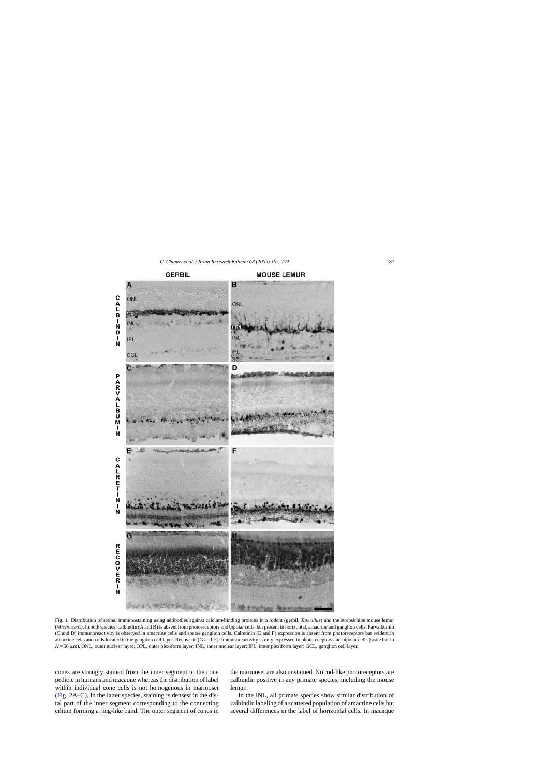<span id="page-2-0"></span>

Fig. 1. Distribution of retinal immunostaining using antibodies against calcium-binding proteins in a rodent (gerbil, *Taterillus*) and the strepsirhine mouse lemur (*Microcebus*). In both species, calbindin (A and B) is absent from photoreceptors and bipolar cells, but present in horizontal, amacrine and ganglion cells. Parvalbumin (C and D) immunoreactivity is observed in amacrine cells and sparse ganglion cells. Calretinin (E and F) expression is absent from photoreceptors but evident in amacrine cells and cells located in the ganglion cell layer. Recoverin (G and H): immunoreactivity is only expressed in photoreceptors and bipolar cells (scale bar in  $H = 50 \,\mu\text{m}$ ). ONL, outer nuclear layer; OPL, outer plexiform layer; INL, inner nuclear layer; IPL, inner plexiform layer; GCL, ganglion cell layer.

cones are strongly stained from the inner segment to the cone pedicle in humans and macaque whereas the distribution of label within individual cone cells is not homogenous in marmoset ([Fig. 2A](#page-3-0)–C). In the latter species, staining is densest in the distal part of the inner segment corresponding to the connecting cilium forming a ring-like band. The outer segment of cones in the marmoset are also unstained. No rod-like photoreceptors are calbindin positive in any primate species, including the mouse lemur.

In the INL, all primate species show similar distribution of calbindin labeling of a scattered population of amacrine cells but several differences in the label of horizontal cells. In macaque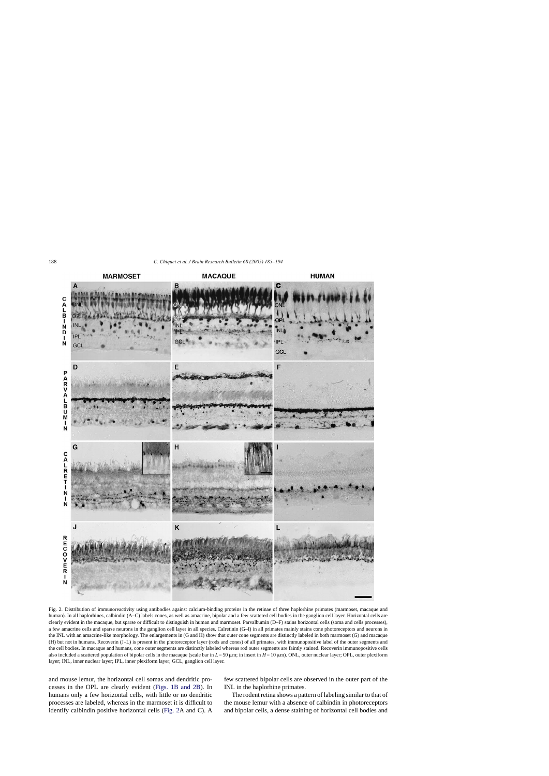<span id="page-3-0"></span>

Fig. 2. Distribution of immunoreactivity using antibodies against calcium-binding proteins in the retinae of three haplorhine primates (marmoset, macaque and human). In all haplorhines, calbindin (A–C) labels cones, as well as amacrine, bipolar and a few scattered cell bodies in the ganglion cell layer. Horizontal cells are clearly evident in the macaque, but sparse or difficult to distinguish in human and marmoset. Parvalbumin (D–F) stains horizontal cells (soma and cells processes), a few amacrine cells and sparse neurons in the ganglion cell layer in all species. Calretinin (G–I) in all primates mainly stains cone photoreceptors and neurons in the INL with an amacrine-like morphology. The enlargements in (G and H) show that outer cone segments are distinctly labeled in both marmoset (G) and macaque (H) but not in humans. Recoverin (J–L) is present in the photoreceptor layer (rods and cones) of all primates, with immunopositive label of the outer segments and the cell bodies. In macaque and humans, cone outer segments are distinctly labeled whereas rod outer segments are faintly stained. Recoverin immunopositive cells also included a scattered population of bipolar cells in the macaque (scale bar in *L* = 50 µm; in insert in *H* = 10 µm). ONL, outer nuclear layer; OPL, outer plexiform layer; INL, inner nuclear layer; IPL, inner plexiform layer; GCL, ganglion cell layer.

and mouse lemur, the horizontal cell somas and dendritic processes in the OPL are clearly evident [\(Figs. 1B and 2B\)](#page-2-0). In humans only a few horizontal cells, with little or no dendritic processes are labeled, whereas in the marmoset it is difficult to identify calbindin positive horizontal cells (Fig. 2A and C). A few scattered bipolar cells are observed in the outer part of the INL in the haplorhine primates.

The rodent retina shows a pattern of labeling similar to that of the mouse lemur with a absence of calbindin in photoreceptors and bipolar cells, a dense staining of horizontal cell bodies and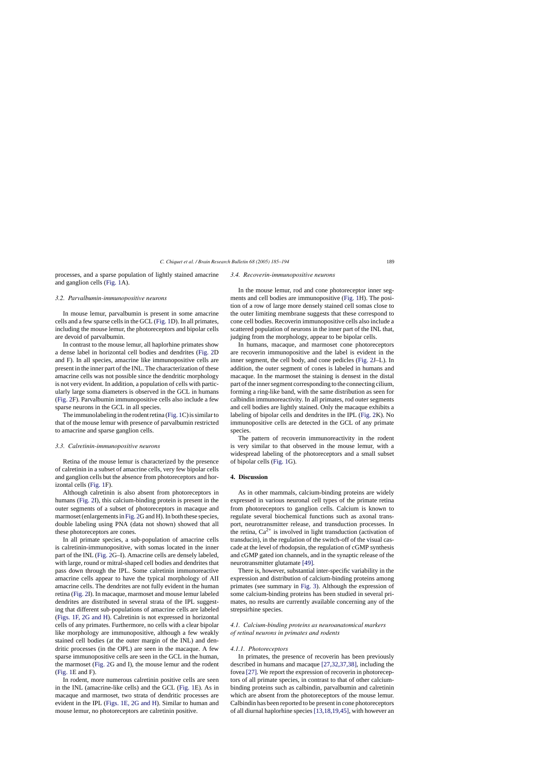processes, and a sparse population of lightly stained amacrine and ganglion cells ([Fig. 1A](#page-2-0)).

## *3.2. Parvalbumin-immunopositive neurons*

In mouse lemur, parvalbumin is present in some amacrine cells and a few sparse cells in the GCL [\(Fig. 1D](#page-2-0)). In all primates, including the mouse lemur, the photoreceptors and bipolar cells are devoid of parvalbumin.

In contrast to the mouse lemur, all haplorhine primates show a dense label in horizontal cell bodies and dendrites [\(Fig. 2D](#page-3-0) and F). In all species, amacrine like immunopositive cells are present in the inner part of the INL. The characterization of these amacrine cells was not possible since the dendritic morphology is not very evident. In addition, a population of cells with particularly large soma diameters is observed in the GCL in humans ([Fig. 2F](#page-3-0)). Parvalbumin immunopositive cells also include a few sparse neurons in the GCL in all species.

The immunolabeling in the rodent retina [\(Fig. 1C](#page-2-0)) is similar to that of the mouse lemur with presence of parvalbumin restricted to amacrine and sparse ganglion cells.

### *3.3. Calretinin-immunopositive neurons*

Retina of the mouse lemur is characterized by the presence of calretinin in a subset of amacrine cells, very few bipolar cells and ganglion cells but the absence from photoreceptors and horizontal cells [\(Fig. 1F](#page-2-0)).

Although calretinin is also absent from photoreceptors in humans ([Fig. 2I\)](#page-3-0), this calcium-binding protein is present in the outer segments of a subset of photoreceptors in macaque and marmoset (enlargements in [Fig. 2G](#page-3-0) and H). In both these species, double labeling using PNA (data not shown) showed that all these photoreceptors are cones.

In all primate species, a sub-population of amacrine cells is calretinin-immunopositive, with somas located in the inner part of the INL [\(Fig. 2G](#page-3-0)–I). Amacrine cells are densely labeled, with large, round or mitral-shaped cell bodies and dendrites that pass down through the IPL. Some calretinin immunoreactive amacrine cells appear to have the typical morphology of AII amacrine cells. The dendrites are not fully evident in the human retina ([Fig. 2I\)](#page-3-0). In macaque, marmoset and mouse lemur labeled dendrites are distributed in several strata of the IPL suggesting that different sub-populations of amacrine cells are labeled ([Figs. 1F, 2G and H\).](#page-2-0) Calretinin is not expressed in horizontal cells of any primates. Furthermore, no cells with a clear bipolar like morphology are immunopositive, although a few weakly stained cell bodies (at the outer margin of the INL) and dendritic processes (in the OPL) are seen in the macaque. A few sparse immunopositive cells are seen in the GCL in the human, the marmoset [\(Fig. 2G](#page-3-0) and I), the mouse lemur and the rodent ([Fig. 1E](#page-2-0) and F).

In rodent, more numerous calretinin positive cells are seen in the INL (amacrine-like cells) and the GCL [\(Fig. 1E](#page-2-0)). As in macaque and marmoset, two strata of dendritic processes are evident in the IPL ([Figs. 1E, 2G and H\).](#page-2-0) Similar to human and mouse lemur, no photoreceptors are calretinin positive.

#### *3.4. Recoverin-immunopositive neurons*

In the mouse lemur, rod and cone photoreceptor inner segments and cell bodies are immunopositive ([Fig. 1H](#page-2-0)). The position of a row of large more densely stained cell somas close to the outer limiting membrane suggests that these correspond to cone cell bodies. Recoverin immunopositive cells also include a scattered population of neurons in the inner part of the INL that, judging from the morphology, appear to be bipolar cells.

In humans, macaque, and marmoset cone photoreceptors are recoverin immunopositive and the label is evident in the inner segment, the cell body, and cone pedicles [\(Fig. 2J–](#page-3-0)L). In addition, the outer segment of cones is labeled in humans and macaque. In the marmoset the staining is densest in the distal part of the inner segment corresponding to the connecting cilium, forming a ring-like band, with the same distribution as seen for calbindin immunoreactivity. In all primates, rod outer segments and cell bodies are lightly stained. Only the macaque exhibits a labeling of bipolar cells and dendrites in the IPL [\(Fig. 2K](#page-3-0)). No immunopositive cells are detected in the GCL of any primate species.

The pattern of recoverin immunoreactivity in the rodent is very similar to that observed in the mouse lemur, with a widespread labeling of the photoreceptors and a small subset of bipolar cells [\(Fig. 1G](#page-2-0)).

#### **4. Discussion**

As in other mammals, calcium-binding proteins are widely expressed in various neuronal cell types of the primate retina from photoreceptors to ganglion cells. Calcium is known to regulate several biochemical functions such as axonal transport, neurotransmitter release, and transduction processes. In the retina,  $Ca^{2+}$  is involved in light transduction (activation of transducin), in the regulation of the switch-off of the visual cascade at the level of rhodopsin, the regulation of cGMP synthesis and cGMP gated ion channels, and in the synaptic release of the neurotransmitter glutamate [\[49\].](#page-8-0)

There is, however, substantial inter-specific variability in the expression and distribution of calcium-binding proteins among primates (see summary in [Fig. 3\).](#page-5-0) Although the expression of some calcium-binding proteins has been studied in several primates, no results are currently available concerning any of the strepsirhine species.

## *4.1. Calcium-binding proteins as neuroanatomical markers of retinal neurons in primates and rodents*

#### *4.1.1. Photoreceptors*

In primates, the presence of recoverin has been previously described in humans and macaque [\[27,32,37,38\],](#page-8-0) including the fovea [\[27\]. W](#page-8-0)e report the expression of recoverin in photoreceptors of all primate species, in contrast to that of other calciumbinding proteins such as calbindin, parvalbumin and calretinin which are absent from the photoreceptors of the mouse lemur. Calbindin has been reported to be present in cone photoreceptors of all diurnal haplorhine species [\[13,18,19,45\], w](#page-7-0)ith however an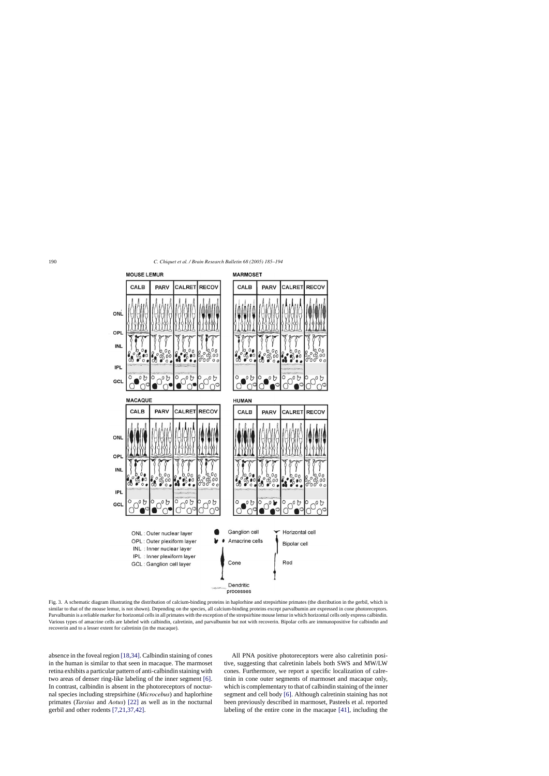<span id="page-5-0"></span>

Fig. 3. A schematic diagram illustrating the distribution of calcium-binding proteins in haplorhine and strepsirhine primates (the distribution in the gerbil, which is similar to that of the mouse lemur, is not shown). Depending on the species, all calcium-binding proteins except parvalbumin are expressed in cone photoreceptors. Parvalbumin is a reliable marker for horizontal cells in all primates with the exception of the strepsirhine mouse lemur in which horizontal cells only express calbindin. Various types of amacrine cells are labeled with calbindin, calretinin, and parvalbumin but not with recoverin. Bipolar cells are immunopositive for calbindin and recoverin and to a lesser extent for calretinin (in the macaque).

absence in the foveal region [\[18,34\]. C](#page-8-0)albindin staining of cones in the human is similar to that seen in macaque. The marmoset retina exhibits a particular pattern of anti-calbindin staining with two areas of denser ring-like labeling of the inner segment [\[6\].](#page-7-0) In contrast, calbindin is absent in the photoreceptors of nocturnal species including strepsirhine (*Microcebus*) and haplorhine primates (*Tarsius* and *Aotus*) [\[22\]](#page-8-0) as well as in the nocturnal gerbil and other rodents [\[7,21,37,42\].](#page-7-0)

All PNA positive photoreceptors were also calretinin positive, suggesting that calretinin labels both SWS and MW/LW cones. Furthermore, we report a specific localization of calretinin in cone outer segments of marmoset and macaque only, which is complementary to that of calbindin staining of the inner segment and cell body [\[6\].](#page-7-0) Although calretinin staining has not been previously described in marmoset, Pasteels et al. reported labeling of the entire cone in the macaque [\[41\],](#page-8-0) including the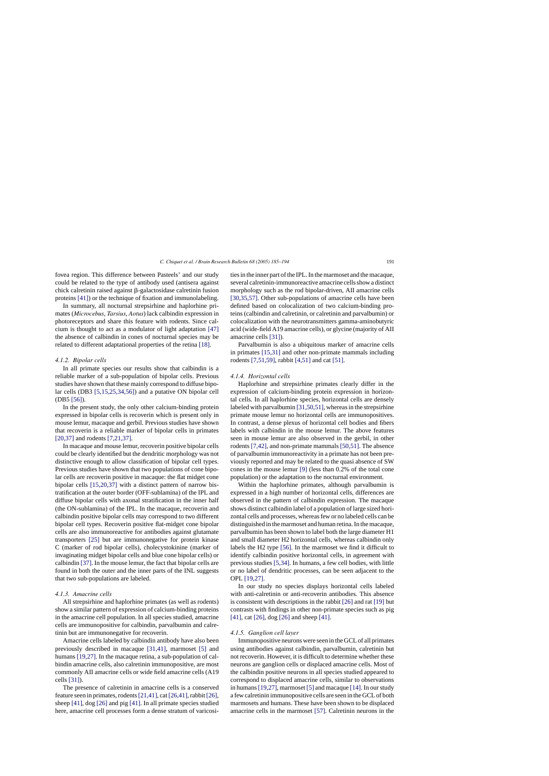fovea region. This difference between Pasteels' and our study could be related to the type of antibody used (antisera against  $chick$  calretinin raised against  $\beta$ -galactosidase calretinin fusion proteins [\[41\]\)](#page-8-0) or the technique of fixation and immunolabeling.

In summary, all nocturnal strepsirhine and haplorhine primates (*Microcebus*, *Tarsius*, *Aotus*) lack calbindin expression in photoreceptors and share this feature with rodents. Since calcium is thought to act as a modulator of light adaptation [\[47\]](#page-8-0) the absence of calbindin in cones of nocturnal species may be related to different adaptational properties of the retina [\[18\].](#page-8-0)

## *4.1.2. Bipolar cells*

In all primate species our results show that calbindin is a reliable marker of a sub-population of bipolar cells. Previous studies have shown that these mainly correspond to diffuse bipolar cells (DB3 [\[5,15,25,34,56\]\)](#page-7-0) and a putative ON bipolar cell (DB5 [\[56\]\).](#page-8-0)

In the present study, the only other calcium-binding protein expressed in bipolar cells is recoverin which is present only in mouse lemur, macaque and gerbil. Previous studies have shown that recoverin is a reliable marker of bipolar cells in primates [\[20,37\]](#page-8-0) and rodents [\[7,21,37\].](#page-7-0)

In macaque and mouse lemur, recoverin positive bipolar cells could be clearly identified but the dendritic morphology was not distinctive enough to allow classification of bipolar cell types. Previous studies have shown that two populations of cone bipolar cells are recoverin positive in macaque: the flat midget cone bipolar cells [\[15,20,37\]](#page-7-0) with a distinct pattern of narrow bistratification at the outer border (OFF-sublamina) of the IPL and diffuse bipolar cells with axonal stratification in the inner half (the ON-sublamina) of the IPL. In the macaque, recoverin and calbindin positive bipolar cells may correspond to two different bipolar cell types. Recoverin positive flat-midget cone bipolar cells are also immunoreactive for antibodies against glutamate transporters [\[25\]](#page-8-0) but are immunonegative for protein kinase C (marker of rod bipolar cells), cholecystokinine (marker of invaginating midget bipolar cells and blue cone bipolar cells) or calbindin [\[37\]. I](#page-8-0)n the mouse lemur, the fact that bipolar cells are found in both the outer and the inner parts of the INL suggests that two sub-populations are labeled.

#### *4.1.3. Amacrine cells*

All strepsirhine and haplorhine primates (as well as rodents) show a similar pattern of expression of calcium-binding proteins in the amacrine cell population. In all species studied, amacrine cells are immunopositive for calbindin, parvalbumin and calretinin but are immunonegative for recoverin.

Amacrine cells labeled by calbindin antibody have also been previously described in macaque [\[31,41\],](#page-8-0) marmoset [\[5\]](#page-7-0) and humans [\[19,27\]. I](#page-8-0)n the macaque retina, a sub-population of calbindin amacrine cells, also calretinin immunopositive, are most commonly AII amacrine cells or wide field amacrine cells (A19 cells [\[31\]\).](#page-8-0)

The presence of calretinin in amacrine cells is a conserved feature seen in primates, rodents[\[21,41\], c](#page-8-0)at[\[26,41\], r](#page-8-0)abbit[\[26\],](#page-8-0) sheep [\[41\], d](#page-8-0)og [\[26\]](#page-8-0) and pig [\[41\].](#page-8-0) In all primate species studied here, amacrine cell processes form a dense stratum of varicosities in the inner part of the IPL. In the marmoset and the macaque, several calretinin-immunoreactive amacrine cells show a distinct morphology such as the rod bipolar-driven, AII amacrine cells [\[30,35,57\].](#page-8-0) Other sub-populations of amacrine cells have been defined based on colocalization of two calcium-binding proteins (calbindin and calretinin, or calretinin and parvalbumin) or colocalization with the neurotransmitters gamma-aminobutyric acid (wide-field A19 amacrine cells), or glycine (majority of AII amacrine cells [\[31\]\).](#page-8-0)

Parvalbumin is also a ubiquitous marker of amacrine cells in primates [\[15,31\]](#page-7-0) and other non-primate mammals including rodents [\[7,51,59\], r](#page-7-0)abbit [\[4,51\]](#page-7-0) and cat [\[51\].](#page-8-0)

## *4.1.4. Horizontal cells*

Haplorhine and strepsirhine primates clearly differ in the expression of calcium-binding protein expression in horizontal cells. In all haplorhine species, horizontal cells are densely labeled with parvalbumin [\[31,50,51\], w](#page-8-0)hereas in the strepsirhine primate mouse lemur no horizontal cells are immunopositives. In contrast, a dense plexus of horizontal cell bodies and fibers labels with calbindin in the mouse lemur. The above features seen in mouse lemur are also observed in the gerbil, in other rodents [\[7,42\], a](#page-7-0)nd non-primate mammals [\[50,51\]. T](#page-8-0)he absence of parvalbumin immunoreactivity in a primate has not been previously reported and may be related to the quasi absence of SW cones in the mouse lemur [\[9\]](#page-7-0) (less than 0.2% of the total cone population) or the adaptation to the nocturnal environment.

Within the haplorhine primates, although parvalbumin is expressed in a high number of horizontal cells, differences are observed in the pattern of calbindin expression. The macaque shows distinct calbindin label of a population of large sized horizontal cells and processes, whereas few or no labeled cells can be distinguished in the marmoset and human retina. In the macaque, parvalbumin has been shown to label both the large diameter H1 and small diameter H2 horizontal cells, whereas calbindin only labels the H2 type [\[56\].](#page-8-0) In the marmoset we find it difficult to identify calbindin positive horizontal cells, in agreement with previous studies [\[5,34\]. I](#page-7-0)n humans, a few cell bodies, with little or no label of dendritic processes, can be seen adjacent to the OPL [\[19,27\].](#page-8-0)

In our study no species displays horizontal cells labeled with anti-calretinin or anti-recoverin antibodies. This absence is consistent with descriptions in the rabbit [\[26\]](#page-8-0) and rat [\[19\]](#page-8-0) but contrasts with findings in other non-primate species such as pig [\[41\],](#page-8-0) cat [\[26\], d](#page-8-0)og [\[26\]](#page-8-0) and sheep [\[41\].](#page-8-0)

## *4.1.5. Ganglion cell layer*

Immunopositive neurons were seen in the GCL of all primates using antibodies against calbindin, parvalbumin, calretinin but not recoverin. However, it is difficult to determine whether these neurons are ganglion cells or displaced amacrine cells. Most of the calbindin positive neurons in all species studied appeared to correspond to displaced amacrine cells, similar to observations in humans [\[19,27\], m](#page-8-0)armoset [\[5\]](#page-7-0) and macaque [\[14\]. I](#page-7-0)n our study a few calretinin immunopositive cells are seen in the GCL of both marmosets and humans. These have been shown to be displaced amacrine cells in the marmoset [\[57\].](#page-8-0) Calretinin neurons in the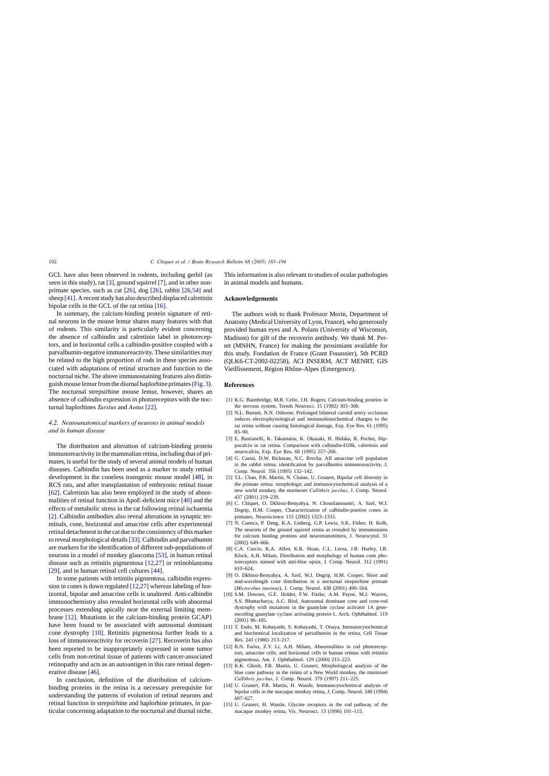<span id="page-7-0"></span>GCL have also been observed in rodents, including gerbil (as seen in this study), rat [3], ground squirrel [7], and in other nonprimate species, such as cat [\[26\],](#page-8-0) dog [\[26\],](#page-8-0) rabbit [\[26,54\]](#page-8-0) and sheep [\[41\]. A](#page-8-0) recent study has also described displaced calretinin bipolar cells in the GCL of the rat retina [\[16\].](#page-8-0)

In summary, the calcium-binding protein signature of retinal neurons in the mouse lemur shares many features with that of rodents. This similarity is particularly evident concerning the absence of calbindin and calretinin label in photoreceptors, and in horizontal cells a calbindin-positive coupled with a parvalbumin-negative immunoreactivity. These similarities may be related to the high proportion of rods in these species associated with adaptations of retinal structure and function to the nocturnal niche. The above immunostaining features also distinguish mouse lemur from the diurnal haplorhine primates ([Fig. 3\).](#page-5-0) The nocturnal strepsirhine mouse lemur, however, shares an absence of calbindin expression in photoreceptors with the nocturnal haplorhines *Tarsius* and *Aotus* [\[22\].](#page-8-0)

## *4.2. Neuroanatomical markers of neurons in animal models and in human disease*

The distribution and alteration of calcium-binding protein immunoreactivity in the mammalian retina, including that of primates, is useful for the study of several animal models of human diseases. Calbindin has been used as a marker to study retinal development in the coneless transgenic mouse model [\[48\],](#page-8-0) in RCS rats, and after transplantation of embryonic retinal tissue [\[62\].](#page-9-0) Calretinin has also been employed in the study of abnormalities of retinal function in ApoE-deficient mice [\[40\]](#page-8-0) and the effects of metabolic stress in the rat following retinal ischaemia [2]. Calbindin antibodies also reveal alterations in synaptic terminals, cone, horizontal and amacrine cells after experimental retinal detachment in the cat due to the consistency of this marker to reveal morphological details[\[33\]. C](#page-8-0)albindin and parvalbumin are markers for the identification of different sub-populations of neurons in a model of monkey glaucoma [\[53\], i](#page-8-0)n human retinal disease such as retinitis pigmentosa [12,27] or retinoblastoma [\[29\],](#page-8-0) and in human retinal cell cultures [\[44\].](#page-8-0)

In some patients with retinitis pigmentosa, calbindin expression in cones is down regulated [12,27] whereas labeling of horizontal, bipolar and amacrine cells is unaltered. Anti-calbindin immunochemistry also revealed horizontal cells with abnormal processes extending apically near the external limiting membrane [12]. Mutations in the calcium-binding protein GCAP1 have been found to be associated with autosomal dominant cone dystrophy [10]. Retinitis pigmentosa further leads to a loss of immunoreactivity for recoverin [\[27\].](#page-8-0) Recoverin has also been reported to be inappropriately expressed in some tumor cells from non-retinal tissue of patients with cancer-associated retinopathy and acts as an autoantigen in this rare retinal degenerative disease [\[46\].](#page-8-0)

In conclusion, definition of the distribution of calciumbinding proteins in the retina is a necessary prerequisite for understanding the patterns of evolution of retinal neurons and retinal function in strepsirhine and haplorhine primates, in particular concerning adaptation to the nocturnal and diurnal niche.

This information is also relevant to studies of ocular pathologies in animal models and humans.

## **Acknowledgements**

The authors wish to thank Professor Morin, Department of Anatomy (Medical University of Lyon, France), who generously provided human eyes and A. Polans (University of Wisconsin, Madison) for gift of the recoverin antibody. We thank M. Perret (MNHN, France) for making the prosimians available for this study. Fondation de France (Grant Fouassier), 5th PCRD (QLK6-CT-2002-02258), ACI INSERM, ACT MENRT, GIS Vieillissement, Région Rhône-Alpes (Emergence).

# **References**

- [1] K.G. Baimbridge, M.R. Celio, J.H. Rogers, Calcium-binding proteins in the nervous system, Trends Neurosci. 15 (1992) 303–308.
- [2] N.L. Barnett, N.N. Osborne, Prolonged bilateral carotid artery occlusion induces electrophysiological and immunohistochemical changes to the rat retina without causing histological damage, Exp. Eye Res. 61 (1995) 83–90.
- [3] E. Bastianelli, K. Takamatsu, K. Okazaki, H. Hidaka, R. Pochet, Hippocalcin in rat retina. Comparison with calbindin-D28k, calretinin and neurocalcin, Exp. Eye Res. 60 (1995) 257–266.
- [4] G. Casini, D.W. Rickman, N.C. Brecha, AII amacrine cell population in the rabbit retina: identification by parvalbumin immunoreactivity, J. Comp. Neurol. 356 (1995) 132–142.
- [5] T.L. Chan, P.R. Martin, N. Clunas, U. Grunert, Bipolar cell diversity in the primate retina: morphologic and immunocytochemical analysis of a new world monkey, the marmoset *Callithrix jacchus*, J. Comp. Neurol. 437 (2001) 219–239.
- [6] C. Chiquet, O. Dkhissi-Benyahya, N. Chounlamountri, A. Szel, W.J. Degrip, H.M. Cooper, Characterization of calbindin-positive cones in primates, Neuroscience 115 (2002) 1323–1333.
- [7] N. Cuenca, P. Deng, K.A. Linberg, G.P. Lewis, S.K. Fisher, H. Kolb, The neurons of the ground squirrel retina as revealed by immunostains for calcium binding proteins and neurotransmitters, J. Neurocytol. 31 (2002) 649–666.
- [8] C.A. Curcio, K.A. Allen, K.R. Sloan, C.L. Lerea, J.B. Hurley, I.B. Klock, A.H. Milam, Distribution and morphology of human cone photoreceptors stained with anti-blue opsin, J. Comp. Neurol. 312 (1991) 610–624.
- [9] O. Dkhissi-Benyahya, A. Szel, W.J. Degrip, H.M. Cooper, Short and mid-wavelength cone distribution in a nocturnal strepsirhine primate (*Microcebus murinus*), J. Comp. Neurol. 438 (2001) 490–504.
- [10] S.M. Downes, G.E. Holder, F.W. Fitzke, A.M. Payne, M.J. Warren, S.S. Bhattacharya, A.C. Bird, Autosomal dominant cone and cone-rod dystrophy with mutations in the guanylate cyclase activator 1A geneencoding guanylate cyclase activating protein-1, Arch. Ophthalmol. 119 (2001) 96–105.
- [11] T. Endo, M. Kobayashi, S. Kobayashi, T. Onaya, Immunocytochemical and biochemical localization of parvalbumin in the retina, Cell Tissue Res. 243 (1986) 213–217.
- [12] R.N. Fariss, Z.Y. Li, A.H. Milam, Abnormalities in rod photoreceptors, amacrine cells, and horizontal cells in human retinas with retinitis pigmentosa, Am. J. Ophthalmol. 129 (2000) 215–223.
- [13] K.K. Ghosh, P.R. Martin, U. Grunert, Morphological analysis of the blue cone pathway in the retina of a New World monkey, the marmoset *Callithrix jacchus*, J. Comp. Neurol. 379 (1997) 211–225.
- [14] U. Grunert, P.R. Martin, H. Wassle, Immunocytochemical analysis of bipolar cells in the macaque monkey retina, J. Comp. Neurol. 348 (1994) 607–627.
- [15] U. Grunert, H. Wassle, Glycine receptors in the rod pathway of the macaque monkey retina, Vis. Neurosci. 13 (1996) 101–115.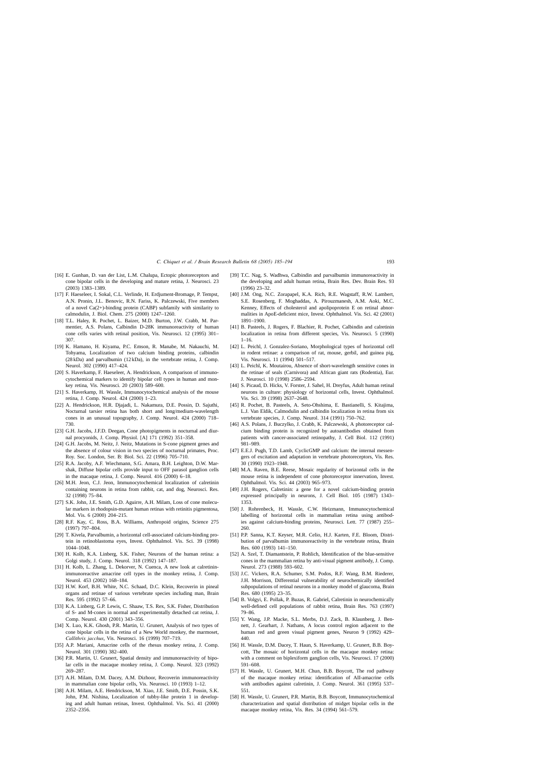- <span id="page-8-0"></span>[16] E. Gunhan, D. van der List, L.M. Chalupa, Ectopic photoreceptors and cone bipolar cells in the developing and mature retina, J. Neurosci. 23 (2003) 1383–1389.
- [17] F. Haeseleer, I. Sokal, C.L. Verlinde, H. Erdjument-Bromage, P. Tempst, A.N. Pronin, J.L. Benovic, R.N. Fariss, K. Palczewski, Five members of a novel Ca(2+)-binding protein (CABP) subfamily with similarity to calmodulin, J. Biol. Chem. 275 (2000) 1247–1260.
- [18] T.L. Haley, R. Pochet, L. Baizer, M.D. Burton, J.W. Crabb, M. Parmentier, A.S. Polans, Calbindin D-28K immunoreactivity of human cone cells varies with retinal position, Vis. Neurosci. 12 (1995) 301– 307.
- [19] K. Hamano, H. Kiyama, P.C. Emson, R. Manabe, M. Nakauchi, M. Tohyama, Localization of two calcium binding proteins, calbindin (28 kDa) and parvalbumin (12 kDa), in the vertebrate retina, J. Comp. Neurol. 302 (1990) 417–424.
- [20] S. Haverkamp, F. Haeseleer, A. Hendrickson, A comparison of immunocytochemical markers to identify bipolar cell types in human and monkey retina, Vis. Neurosci. 20 (2003) 589–600.
- [21] S. Haverkamp, H. Wassle, Immunocytochemical analysis of the mouse retina, J. Comp. Neurol. 424 (2000) 1–23.
- [22] A. Hendrickson, H.R. Djajadi, L. Nakamura, D.E. Possin, D. Sajuthi, Nocturnal tarsier retina has both short and long/medium-wavelength cones in an unusual topography, J. Comp. Neurol. 424 (2000) 718– 730.
- [23] G.H. Jacobs, J.F.D. Deegan, Cone photopigments in nocturnal and diurnal procyonids, J. Comp. Physiol. [A] 171 (1992) 351–358.
- [24] G.H. Jacobs, M. Neitz, J. Neitz, Mutations in S-cone pigment genes and the absence of colour vision in two species of nocturnal primates, Proc. Roy. Soc. London, Ser. B: Biol. Sci. 22 (1996) 705–710.
- [25] R.A. Jacoby, A.F. Wiechmann, S.G. Amara, B.H. Leighton, D.W. Marshak, Diffuse bipolar cells provide input to OFF parasol ganglion cells in the macaque retina, J. Comp. Neurol. 416 (2000) 6–18.
- [26] M.H. Jeon, C.J. Jeon, Immunocytochemical localization of calretinin containing neurons in retina from rabbit, cat, and dog, Neurosci. Res. 32 (1998) 75–84.
- [27] S.K. John, J.E. Smith, G.D. Aguirre, A.H. Milam, Loss of cone molecular markers in rhodopsin-mutant human retinas with retinitis pigmentosa, Mol. Vis. 6 (2000) 204–215.
- [28] R.F. Kay, C. Ross, B.A. Williams, Anthropoid origins, Science 275 (1997) 797–804.
- [29] T. Kivela, Parvalbumin, a horizontal cell-associated calcium-binding protein in retinoblastoma eyes, Invest. Ophthalmol. Vis. Sci. 39 (1998) 1044–1048.
- [30] H. Kolb, K.A. Linberg, S.K. Fisher, Neurons of the human retina: a Golgi study, J. Comp. Neurol. 318 (1992) 147–187.
- [31] H. Kolb, L. Zhang, L. Dekorver, N. Cuenca, A new look at calretininimmunoreactive amacrine cell types in the monkey retina, J. Comp. Neurol. 453 (2002) 168–184.
- [32] H.W. Korf, B.H. White, N.C. Schaad, D.C. Klein, Recoverin in pineal organs and retinae of various vertebrate species including man, Brain Res. 595 (1992) 57–66.
- [33] K.A. Linberg, G.P. Lewis, C. Shaaw, T.S. Rex, S.K. Fisher, Distribution of S- and M-cones in normal and experimentally detached cat retina, J. Comp. Neurol. 430 (2001) 343–356.
- [34] X. Luo, K.K. Ghosh, P.R. Martin, U. Grunert, Analysis of two types of cone bipolar cells in the retina of a New World monkey, the marmoset, *Callithrix jacchus*, Vis. Neurosci. 16 (1999) 707–719.
- [35] A.P. Mariani, Amacrine cells of the rhesus monkey retina, J. Comp. Neurol. 301 (1990) 382–400.
- [36] P.R. Martin, U. Grunert, Spatial density and immunoreactivity of bipolar cells in the macaque monkey retina, J. Comp. Neurol. 323 (1992) 269–287.
- [37] A.H. Milam, D.M. Dacey, A.M. Dizhoor, Recoverin immunoreactivity in mammalian cone bipolar cells, Vis. Neurosci. 10 (1993) 1–12.
- [38] A.H. Milam, A.E. Hendrickson, M. Xiao, J.E. Smith, D.E. Possin, S.K. John, P.M. Nishina, Localization of tubby-like protein 1 in developing and adult human retinas, Invest. Ophthalmol. Vis. Sci. 41 (2000) 2352–2356.
- [39] T.C. Nag, S. Wadhwa, Calbindin and parvalbumin immunoreactivity in the developing and adult human retina, Brain Res. Dev. Brain Res. 93 (1996) 23–32.
- [40] J.M. Ong, N.C. Zorapapel, K.A. Rich, R.E. Wagstaff, R.W. Lambert, S.E. Rosenberg, F. Moghaddas, A. Pirouzmanesh, A.M. Aoki, M.C. Kenney, Effects of cholesterol and apolipoprotein E on retinal abnormalities in ApoE-deficient mice, Invest. Ophthalmol. Vis. Sci. 42 (2001) 1891–1900.
- [41] B. Pasteels, J. Rogers, F. Blachier, R. Pochet, Calbindin and calretinin localization in retina from different species, Vis. Neurosci. 5 (1990) 1–16.
- [42] L. Peichl, J. Gonzalez-Soriano, Morphological types of horizontal cell in rodent retinae: a comparison of rat, mouse, gerbil, and guinea pig, Vis. Neurosci. 11 (1994) 501–517.
- [43] L. Peichl, K. Moutairou, Absence of short-wavelength sensitive cones in the retinae of seals (Carnivora) and African giant rats (Rodentia), Eur. J. Neurosci. 10 (1998) 2586–2594.
- [44] S. Picaud, D. Hicks, V. Forster, J. Sahel, H. Dreyfus, Adult human retinal neurons in culture: physiology of horizontal cells, Invest. Ophthalmol. Vis. Sci. 39 (1998) 2637–2648.
- [45] R. Pochet, B. Pasteels, A. Seto-Ohshima, E. Bastianelli, S. Kitajima, L.J. Van Eldik, Calmodulin and calbindin localization in retina from six vertebrate species, J. Comp. Neurol. 314 (1991) 750–762.
- [46] A.S. Polans, J. Buczylko, J. Crabb, K. Palczewski, A photoreceptor calcium binding protein is recognized by autoantibodies obtained from patients with cancer-associated retinopathy, J. Cell Biol. 112 (1991) 981–989.
- [47] E.E.J. Pugh, T.D. Lamb, CyclicGMP and calcium: the internal messengers of excitation and adaptation in vertebrate photoreceptors, Vis. Res. 30 (1990) 1923–1948.
- [48] M.A. Raven, B.E. Reese, Mosaic regularity of horizontal cells in the mouse retina is independent of cone photoreceptor innervation, Invest. Ophthalmol. Vis. Sci. 44 (2003) 965–973.
- [49] J.H. Rogers, Calretinin: a gene for a novel calcium-binding protein expressed principally in neurons, J. Cell Biol. 105 (1987) 1343– 1353.
- [50] J. Rohrenbeck, H. Wassle, C.W. Heizmann, Immunocytochemical labelling of horizontal cells in mammalian retina using antibodies against calcium-binding proteins, Neurosci. Lett. 77 (1987) 255– 260.
- [51] P.P. Sanna, K.T. Keyser, M.R. Celio, H.J. Karten, F.E. Bloom, Distribution of parvalbumin immunoreactivity in the vertebrate retina, Brain Res. 600 (1993) 141–150.
- [52] A. Szel, T. Diamantstein, P. Rohlich, Identification of the blue-sensitive cones in the mammalian retina by anti-visual pigment antibody, J. Comp. Neurol. 273 (1988) 593–602.
- [53] J.C. Vickers, R.A. Schumer, S.M. Podos, R.F. Wang, B.M. Riederer, J.H. Morrison, Differential vulnerability of neurochemically identified subpopulations of retinal neurons in a monkey model of glaucoma, Brain Res. 680 (1995) 23–35.
- [54] B. Volgyi, E. Pollak, P. Buzas, R. Gabriel, Calretinin in neurochemically well-defined cell populations of rabbit retina, Brain Res. 763 (1997) 79–86.
- [55] Y. Wang, J.P. Macke, S.L. Merbs, D.J. Zack, B. Klaunberg, J. Bennett, J. Gearhart, J. Nathans, A locus control region adjacent to the human red and green visual pigment genes, Neuron 9 (1992) 429– 440.
- [56] H. Wassle, D.M. Dacey, T. Haun, S. Haverkamp, U. Grunert, B.B. Boycott, The mosaic of horizontal cells in the macaque monkey retina: with a comment on biplexiform ganglion cells, Vis. Neurosci. 17 (2000) 591–608.
- [57] H. Wassle, U. Grunert, M.H. Chun, B.B. Boycott, The rod pathway of the macaque monkey retina: identification of AII-amacrine cells with antibodies against calretinin, J. Comp. Neurol. 361 (1995) 537– 551.
- [58] H. Wassle, U. Grunert, P.R. Martin, B.B. Boycott, Immunocytochemical characterization and spatial distribution of midget bipolar cells in the macaque monkey retina, Vis. Res. 34 (1994) 561–579.